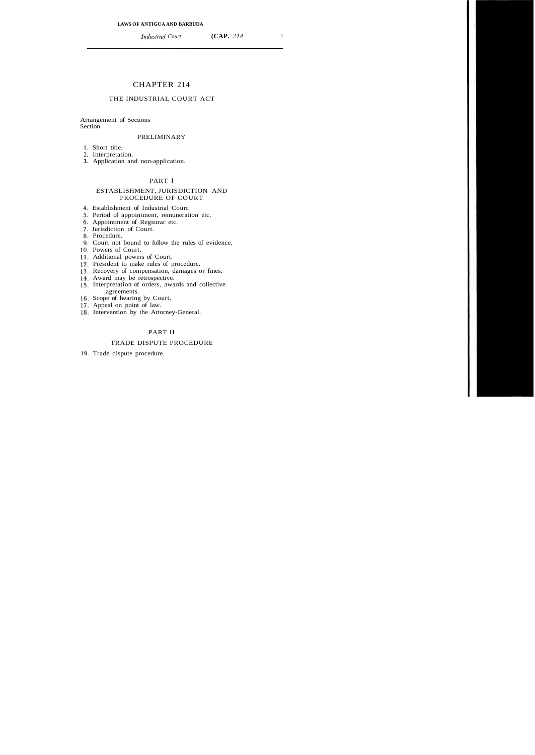# CHAPTER 214

# THE INDUSTRIAL COURT ACT

#### Arrangement of Sections **Section**

#### PRELIMINARY

- 1. Short title.
- 2. Interpretation.
- **3.** Application and non-application.

## PART **<sup>1</sup>**

## ESTABLISHMENT, JURISDICTION AND PKOCEDURE OF COURT

- Establishment of Industrial Court.
- 5. Period of appointment, remuneration etc.
- Appointment of Registrar etc.
- Jurisdiction of Court.
- 8. Procedure.
- Court not bound to follow the rules of evidence.
- 10. Powers of Court.
- 11. Additional powers of Court.
- 12. President to make rules of procedure.
- 13. Recovery of compensation, damages or fines.
- Award may be retrospective.
- Interpretation of orders, awards and collective agreements.
- 16. Scope of hearing by Court.
- 17. Appeal on point of law.
- 18. Intervention by the Attorney-General.

# PART I1

## TRADE DISPUTE PROCEDURE

19. Trade dispute procedure.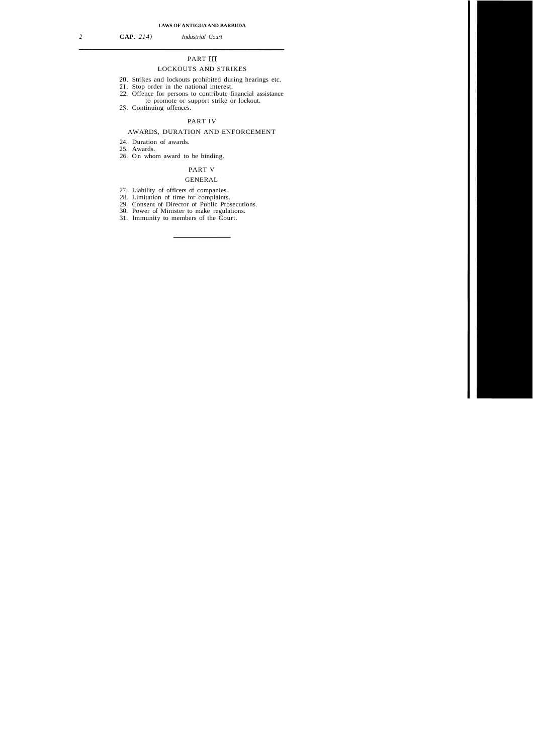*2* **CAP.** *214) Industrial Court* 

# PART III

# LOCKOUTS AND STRIKES

- 20. Strikes and lockouts prohibited during hearings etc.
- 21. Stop order in the national interest.
- 22. Offence for persons to contribute financial assistance to promote or support strike or lockout.
- 23. Continuing offences.

## PART IV

## AWARDS, DURATION AND ENFORCEMENT

- 24. Duration of awards.
- 25. Awards.
- 26. On whom award to be binding.

## PART V

#### GENERAL

- 27. Liability of officers of companies.
- 28. Limitation of time for complaints.
- 29. Consent of Director of Public Prosecutions.
- 30. Power of Minister to make regulations.
- 31. Immunity to members of the Court.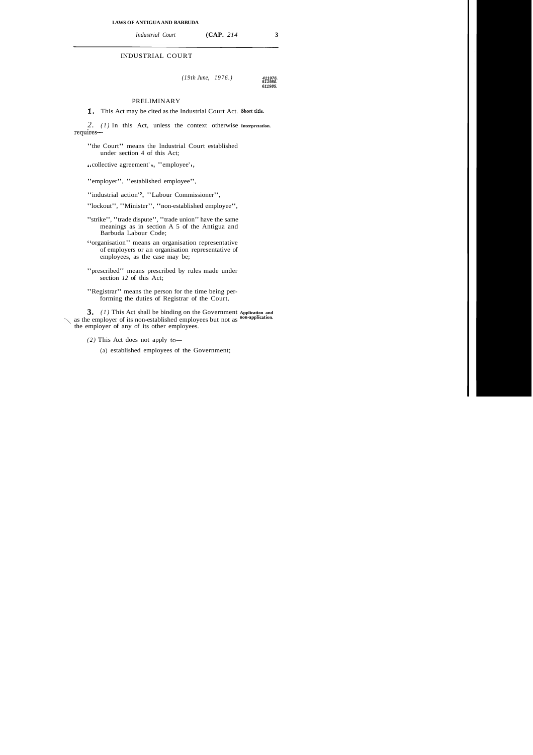*Industrial Court* **(CAP.** *214* **3** 

## INDUSTRIAL COURT

*(19th June, 1976.)* **411976.** 

**511980. 611985.** 

## PRELIMINARY

**1.** This Act may be cited as the Industrial Court Act. **Short title.** 

*2. (1)* In this Act, unless the context otherwise **Interpretation.**  requires-

"the Court" means the Industrial Court established under section 4 of this Act;

< < collective agreement' ' , "employee' ' ,

"employer", "established employee",

"industrial action", "Labour Commissioner",

"lockout", "Minister", "non-established employee",

- "strike", "trade dispute", "trade union" have the same meanings as in section A 5 of the Antigua and Barbuda Labour Code;
- **'6** organisation" means an organisation representative of employers or an organisation representative of employees, as the case may be;
- "prescribed" means prescribed by rules made under section *12* of this Act;

"Registrar" means the person for the time being performing the duties of Registrar of the Court.

**3.** *(1)* This Act shall be binding on the Government **Application and**  as the employer of its non-established employees but not as **non-application**. the employer of any of its other employees.

- $(2)$  This Act does not apply to-
	- (a) established employees of the Government;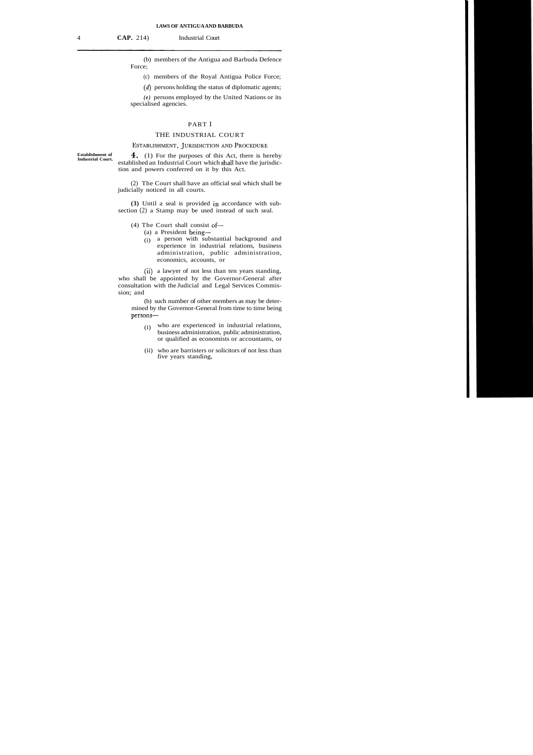(b) members of the Antigua and Barbuda Defence Force;

(c) members of the Royal Antigua Police Force;

(d) persons holding the status of diplomatic agents;

*(e)* persons employed by the United Nations or its specialised agencies.

## PART I

#### THE INDUSTRIAL COURT

ESTABLISHMENT, JURISDICTION AND PROCEDURE

**Establishment of** 

**4.** (1) For the purposes of this Act, there is hereby established an Industrial Court which shall have the jurisdiction and powers conferred on it by this Act.

(2) The Court shall have an official seal which shall be judicially noticed in all courts.

**(3)** Until a seal is provided ip accordance with subsection (2) a Stamp may be used instead of such seal.

#### (4) The Court shall consist of-

- (a) a President being-
- (i) a person with substantial background and experience in industrial relations, business administration, public administration, economics, accounts, or

(ii) a lawyer of not less than ten years standing, who shall be appointed by the Governor-General after consultation with the Judicial and Legal Services Commission; and

(b) such number of other members as may be determined by the Governor-General from time to time being persons-

- (i) who are experienced in industrial relations, business administration, public administration, or qualified as economists or accountants, or
- (ii) who are barristers or solicitors of not less than five years standing,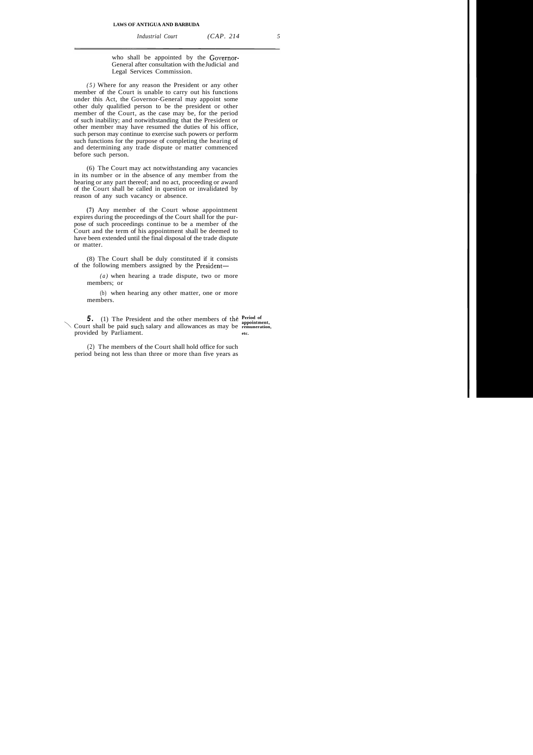*Industrial Court (CAP. 214 5* 

who shall be appointed by the Governor-General after consultation with the Judicial and Legal Services Commission.

*(5)* Where for any reason the President or any other member of the Court is unable to carry out his functions under this Act, the Governor-General may appoint some other duly qualified person to be the president or other member of the Court, as the case may be, for the period of such inability; and notwithstanding that the President or other member may have resumed the duties of his office, such person may continue to exercise such powers or perform such functions for the purpose of completing the hearing of and determining any trade dispute or matter commenced before such person.

(6) The Court may act notwithstanding any vacancies in its number or in the absence of any member from the hearing or any part thereof; and no act, proceeding or award of the Court shall be called in question or invalidated by reason of any such vacancy or absence.

**(7)** Any member of the Court whose appointment expires during the proceedings of the Court shall for the purpose of such proceedings continue to be a member of the Court and the term of his appointment shall be deemed to have been extended until the final disposal of the trade dispute or matter.

(8) The Court shall be duly constituted if it consists of the following members assigned by the President-

*(a)* when hearing a trade dispute, two or more members; or

(b) when hearing any other matter, one or more members.

**5.** (1) The President and the other members of the **Period of** appointment, Court shall be paid such salary and allowances as may be **remuneration,**  provided by Parliament. **etc. etc.** 

(2) The members of the Court shall hold office for such period being not less than three or more than five years as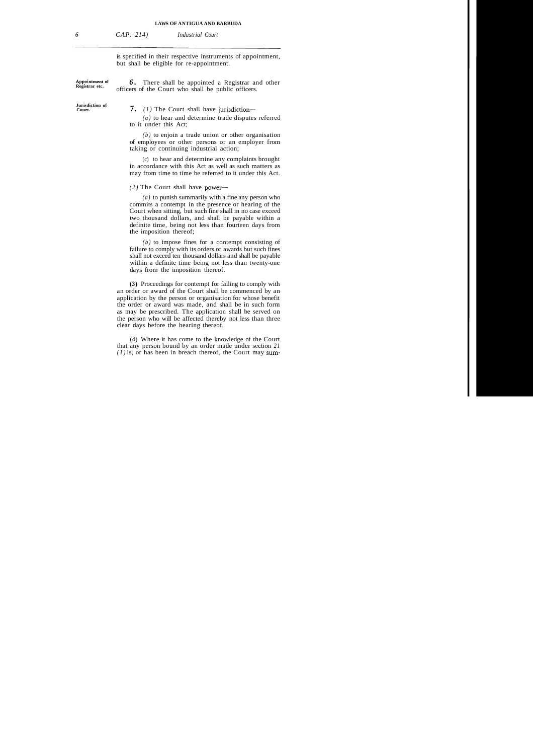#### **LAWS OF ANTIGUA AND BARBUDA**

*6 CAP. 214) Industrial Court* 

is specified in their respective instruments of appointment, but shall be eligible for re-appointment.

**Apqointment of** 

**Jurisdiction of** 

**7.** (1) The Court shall have jurisdiction-

officers of the Court who shall be public officers.

*(a)* to hear and determine trade disputes referred to it under this Act;

**6.** There shall be appointed a Registrar and other

*(b)* to enjoin a trade union or other organisation of employees or other persons or an employer from taking or continuing industrial action;

(c) to hear and determine any complaints brought in accordance with this Act as well as such matters as may from time to time be referred to it under this Act.

 $(2)$  The Court shall have power-

*(a)* to punish summarily with a fine any person who commits a contempt in the presence or hearing of the Court when sitting, but such fine shall in no case exceed two thousand dollars, and shall be payable within a definite time, being not less than fourteen days from the imposition thereof;

*(b)* to impose fines for a contempt consisting of failure to comply with its orders or awards but such fines shall not exceed ten thousand dollars and shall be payable within a definite time being not less than twenty-one days from the imposition thereof.

**(3)** Proceedings for contempt for failing to comply with an order or award of the Court shall be commenced by an application by the person or organisation for whose benefit the order or award was made, and shall be in such form as may be prescribed. The application shall be served on the person who will be affected thereby not less than three clear days before the hearing thereof.

(4) Where it has come to the knowledge of the Court that any person bound by an order made under section *21 (1)* is, or has been in breach thereof, the Court may sum-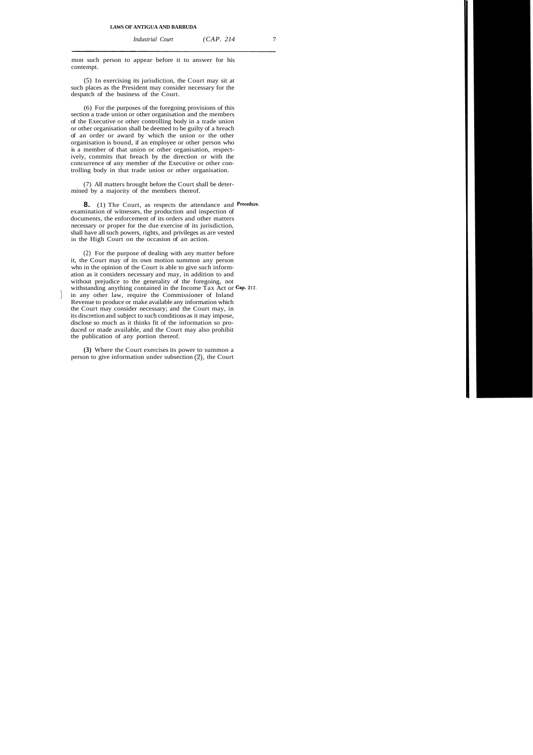mon such person to appear before it to answer for his contempt.

(5) In exercising its jurisdiction, the Court may sit at such places as the President may consider necessary for the despatch of the business of the Court.

(6) For the purposes of the foregoing provisions of this section a trade union or other organisation and the members of the Executive or other controlling body in a trade union or other organisation shall be deemed to be guilty of a breach of an order or award by which the union or the other organisation is bound, if an employee or other person who is a member of that union or other organisation, respectively, commits that breach by the direction or with the concurrence of any member of the Executive or other controlling body in that trade union or other organisation.

(7) All matters brought before the Court shall be determined by a majority of the members thereof.

**8.** (1) The Court, as respects the attendance and **Procedum.**  examination of witnesses, the production and inspection of documents, the enforcement of its orders and other matters necessary or proper for the due exercise of its jurisdiction, shall have all such powers, rights, and privileges as are vested in the High Court on the occasion of an action.

(2) For the purpose of dealing with any matter before it, the Court may of its own motion summon any person who in the opinion of the Court is able to give such information as it considers necessary and may, in addition to and without prejudice to the generality of the foregoing, not withstanding anything contained in the Income Tax Act or **Cap. 212.**  ) in any other law, require the Commissioner of Inland Revenue to produce or make available any information which the Court may consider necessary; and the Court may, in its discretion and subject to such conditions as it may impose, disclose so much as it thinks fit of the information so produced or made available, and the Court may also prohibit the publication of any portion thereof.

**(3)** Where the Court exercises its power to summon a person to give information under subsection (2), the Court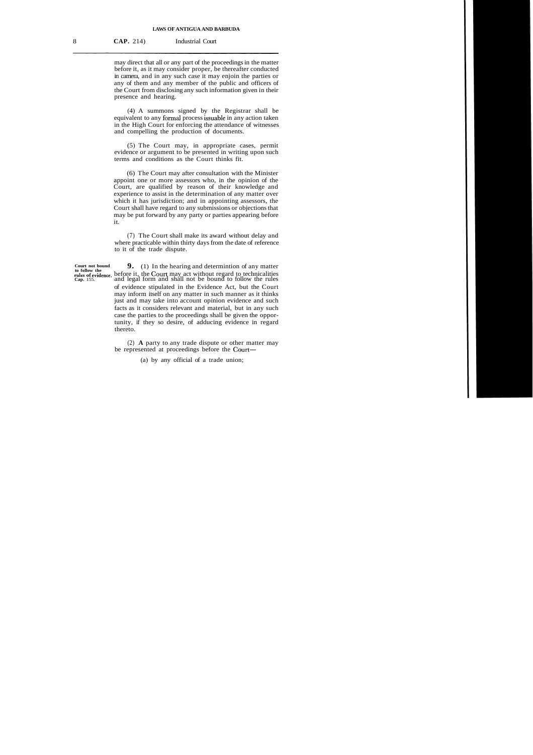may direct that all or any part of the proceedings in the matter before it, as it may consider proper, be thereafter conducted in camera, and in any such case it may enjoin the parties or any of them and any member of the public and officers of the Court from disclosing any such information given in their presence and hearing.

(4) A summons signed by the Registrar shall be equivalent to any formal process issuable in any action taken in the High Court for enforcing the attendance of witnesses and compelling the production of documents.

(5) The Court may, in appropriate cases, permit evidence or argument to be presented in writing upon such terms and conditions as the Court thinks fit.

(6) The Court may after consultation with the Minister appoint one or more assessors who, in the opinion of the Court, are qualified by reason of their knowledge and experience to assist in the determination of any matter over which it has jurisdiction; and in appointing assessors, the Court shall have regard to any submissions or objections that may be put forward by any party or parties appearing before it.

(7) The Court shall make its award without delay and where practicable within thirty days from the date of reference to it of the trade dispute.

**9.** (1) In the hearing and determintion of any matter rules of evidence. before it, the Court may act without regard to technicalities **Cap.** 155. and legal form and shall not be bound to follow the rules of evidence stipulated in the Evidence Act, but the Court may inform itself on any matter in such manner as it thinks just and may take into account opinion evidence and such facts as it considers relevant and material, but in any such case the parties to the proceedings shall be given the opportunity, if they so desire, of adducing evidence in regard thereto.

> (2) **A** party to any trade dispute or other matter may be represented at proceedings before the Court-

> > (a) by any official of a trade union;

**Court not bound to follow the**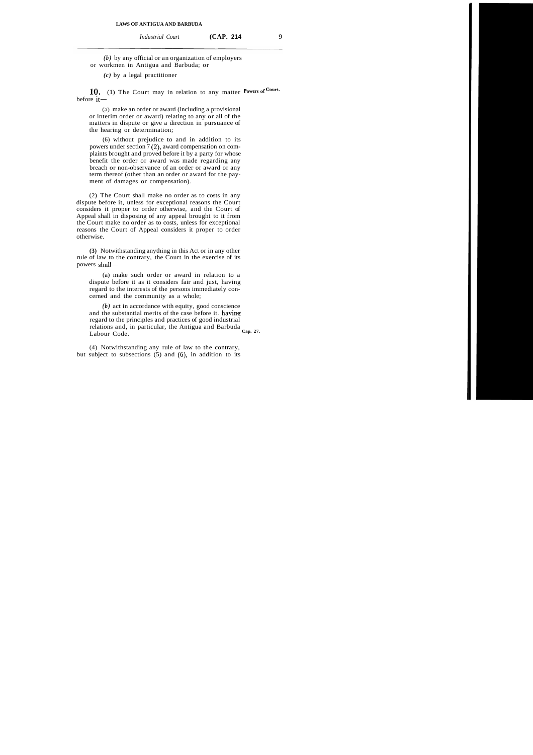*(b)* by any official or an organization of employers or workmen in Antigua and Barbuda; or

*(c)* by a legal practitioner

**10.** (1) The Court may in relation to any matter **Powers of Court.**  $before it$ 

(a) make an order or award (including a provisional or interim order or award) relating to any or all of the matters in dispute or give a direction in pursuance of the hearing or determination;

(6) without prejudice to and in addition to its powers under section 7 (2), award compensation on complaints brought and proved before it by a party for whose benefit the order or award was made regarding any breach or non-observance of an order or award or any term thereof (other than an order or award for the payment of damages or compensation).

(2) The Court shall make no order as to costs in any dispute before it, unless for exceptional reasons the Court considers it proper to order otherwise, and the Court of Appeal shall in disposing of any appeal brought to it from the Court make no order as to costs, unless for exceptional reasons the Court of Appeal considers it proper to order otherwise.

**(3)** Notwithstanding anything in this Act or in any other rule of law to the contrary, the Court in the exercise of its powers shall-

(a) make such order or award in relation to a dispute before it as it considers fair and just, having regard to the interests of the persons immediately concerned and the community as a whole;

*(b)* act in accordance with equity, good conscience and the substantial merits of the case before it. having regard to the principles and practices of good industrial relations and, in particular, the Antigua and Barbuda Labour Code. **Cap. 27.** 

(4) Notwithstanding any rule of law to the contrary, but subject to subsections (5) and **(6),** in addition to its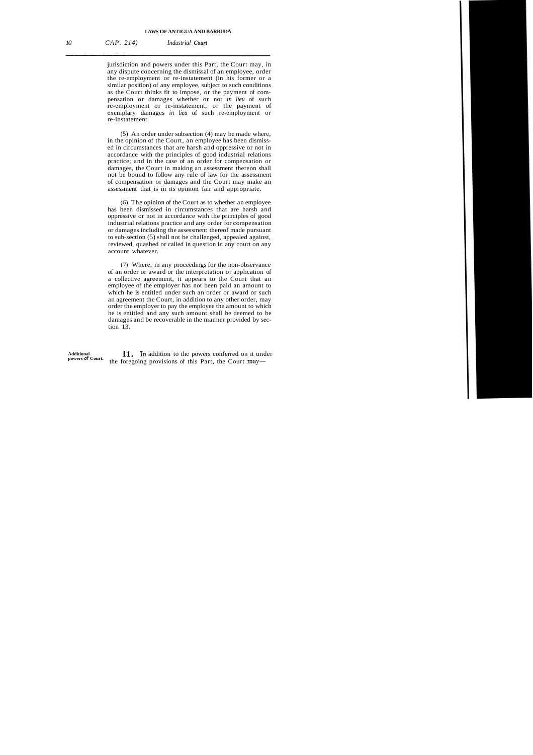#### **LAWS OF ANTIGUA AND BARBUDA**

jurisdiction and powers under this Part, the Court may, in any dispute concerning the dismissal of an employee, order the re-employment or re-instatement (in his former or a similar position) of any employee, subject to such conditions as the Court thinks fit to impose, or the payment of compensation or damages whether or not *in lieu* of such re-employment or re-instatement, or the payment of exemplary damages *in lieu* of such re-employment or re-instatement.

(5) An order under subsection (4) may be made where, in the opinion of the Court, an employee has been dismissed in circumstances that are harsh and oppressive or not in accordance with the principles of good industrial relations practice; and in the case of an order for compensation or damages, the Court in making an assessment thereon shall not be bound to follow any rule of law for the assessment of compensation or damages and the Court may make an assessment that is in its opinion fair and appropriate.

(6) The opinion of the Court as to whether an employee has been dismissed in circumstances that are harsh and oppressive or not in accordance with the principles of good industrial relations practice and any order for compensation or damages including the assessment thereof made pursuant to sub-section (5) shall not be challenged, appealed against, reviewed, quashed or called in question in any court on any account whatever.

(7) Where, in any proceedings for the non-observance of an order or award or the interpretation or application of a collective agreement, it appears to the Court that an employee of the employer has not been paid an amount to which he is entitled under such an order or award or such an agreement the Court, in addition to any other order, may order the employer to pay the employee the amount to which he is entitled and any such amount shall be deemed to be damages and be recoverable in the manner provided by section 13.

Additional **11.** In addition to the powers conferred on it under powers of Court. **the foregoing provisions of this Part, the Court may-**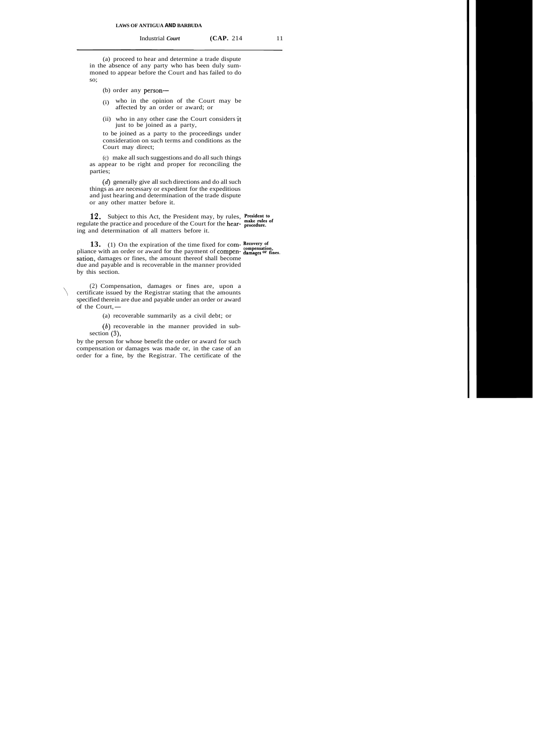(a) proceed to hear and determine a trade dispute in the absence of any party who has been duly summoned to appear before the Court and has failed to do so;

- (b) order any person-
- (i) who in the opinion of the Court may be affected by an order or award; or
- $(ii)$  who in any other case the Court considers it just to be joined as a party,

to be joined as a party to the proceedings under consideration on such terms and conditions as the Court may direct;

(c) make all such suggestions and do all such things as appear to be right and proper for reconciling the parties;

(d) generally give all such directions and do all such things as are necessary or expedient for the expeditious and just hearing and determination of the trade dispute or any other matter before it.

**12.** Subject to this Act, the President may, by rules, **President to** regulate the practice and procedure of the Court for the hear- **procedure.**  ing and determination of all matters before it.

13. (1) On the expiration of the time fixed for com- Recovery of pliance with an order or award for the payment of compen- **damages** or fines. sation, damages or fines, the amount thereof shall become due and payable and is recoverable in the manner provided by this section.

(2) Compensation, damages or fines are, upon a \ certificate issued by the Registrar stating that the amounts specified therein are due and payable under an order or award certificate issued b<br>specified therein are<br>of the Court,—

(a) recoverable summarily as a civil debt; or

 $(b)$  recoverable in the manner provided in subsection **(3),** 

by the person for whose benefit the order or award for such compensation or damages was made or, in the case of an order for a fine, by the Registrar. The certificate of the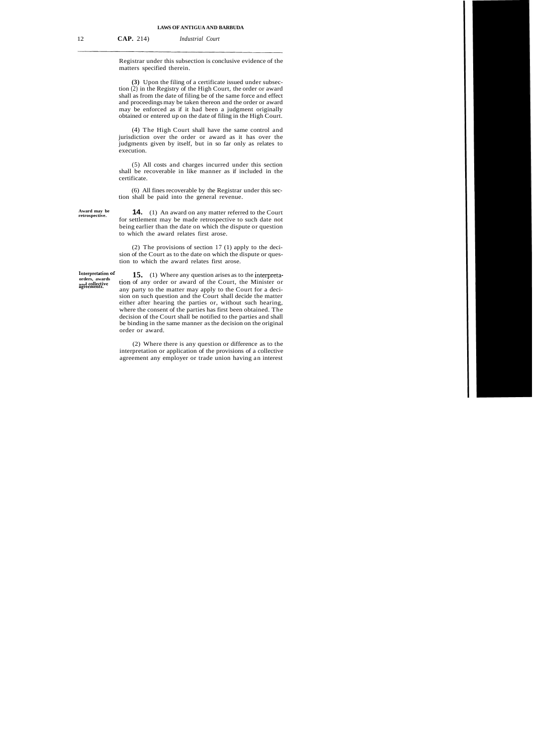Registrar under this subsection is conclusive evidence of the matters specified therein.

**(3)** Upon the filing of a certificate issued under subsection (2) in the Registry of the High Court, the order or award shall as from the date of filing be of the same force and effect and proceedings may be taken thereon and the order or award may be enforced as if it had been a judgment originally obtained or entered up on the date of filing in the High Court.

(4) The High Court shall have the same control and jurisdiction over the order or award as it has over the judgments given by itself, but in so far only as relates to execution.

(5) All costs and charges incurred under this section shall be recoverable in like manner as if included in the certificate.

(6) All fines recoverable by the Registrar under this section shall be paid into the general revenue.

**14.** (1) An award on any matter referred to the Court for settlement may be made retrospective to such date not being earlier than the date on which the dispute or question to which the award relates first arose.

(2) The provisions of section 17 (1) apply to the decision of the Court as to the date on which the dispute or question to which the award relates first arose.

Interpretation of **15.** (1) Where any question arises as to the interpreta-<br>orders, awards <br>dependents. **and** tion of any order or award of the Court, the Minister or any party to the matter may apply to the Court for a decision on such question and the Court shall decide the matter either after hearing the parties or, without such hearing, where the consent of the parties has first been obtained. The decision of the Court shall be notified to the parties and shall be binding in the same manner as the decision on the original order or award.

> (2) Where there is any question or difference as to the interpretation or application of the provisions of a collective agreement any employer or trade union having an interest

**Award may be**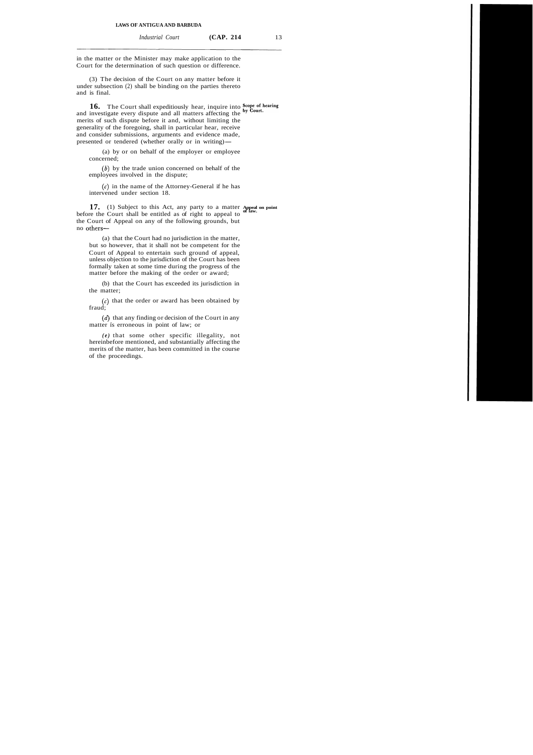in the matter or the Minister may make application to the Court for the determination of such question or difference.

(3) The decision of the Court on any matter before it under subsection (2) shall be binding on the parties thereto and is final.

**16.** The Court shall expeditiously hear, inquire into **Scope of hearing** investigate a cover, linearly and all meeting of factions the by Court. and investigate every dispute and all matters affecting the merits of such dispute before it and, without limiting the generality of the foregoing, shall in particular hear, receive and consider submissions, arguments and evidence made, presented or tendered (whether orally or in writing)—

(a) by or on behalf of the employer or employee concerned;

 $(b)$  by the trade union concerned on behalf of the employees involved in the dispute;

**(6)** in the name of the Attorney-General if he has intervened under section 18.

**17.** (1) Subject to this Act, any party to a matter **Appeal** on point before the Court shall be entitled as of right to appeal to <sup>of law.</sup> the Court of Appeal on any of the following grounds, but no others-

(a) that the Court had no jurisdiction in the matter, but so however, that it shall not be competent for the Court of Appeal to entertain such ground of appeal, unless objection to the jurisdiction of the Court has been formally taken at some time during the progress of the matter before the making of the order or award;

(b) that the Court has exceeded its jurisdiction in the matter;

 $(c)$  that the order or award has been obtained by fraud;

 $(d)$  that any finding or decision of the Court in any matter is erroneous in point of law; or

*(e)* that some other specific illegality, not hereinbefore mentioned, and substantially affecting the merits of the matter, has been committed in the course of the proceedings.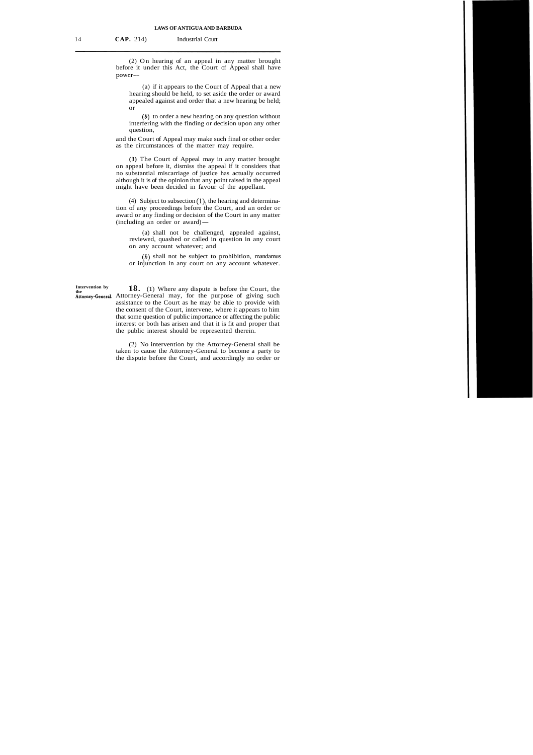(2) On hearing of an appeal in any matter brought before it under this Act, the Court of Appeal shall have power-

(a) if it appears to the Court of Appeal that a new hearing should be held, to set aside the order or award appealed against and order that a new hearing be held; or

 $(b)$  to order a new hearing on any question without interfering with the finding or decision upon any other question,

and the Court of Appeal may make such final or other order as the circumstances of the matter may require.

**(3)** The Court of Appeal may in any matter brought on appeal before it, dismiss the appeal if it considers that no substantial miscarriage of justice has actually occurred although it is of the opinion that any point raised in the appeal might have been decided in favour of the appellant.

(4) Subject to subsection (I), the hearing and determination of any proceedings before the Court, and an order or award or any finding or decision of the Court in any matter tion of any proceedings before the<br>award or any finding or decision of<br>(including an order or award)—

(a) shall not be challenged, appealed against, reviewed, quashed or called in question in any court on any account whatever; and

 $(b)$  shall not be subject to prohibition, mandamus or injunction in any court on any account whatever.

**Intervention by 18.** (1) Where any dispute is before the Court, the Attorney-General. Attorney-General may, for the purpose of giving such assistance to the Court as he may be able to provide with the consent of the Court, intervene, where it appears to him that some question of public importance or affecting the public interest or both has arisen and that it is fit and proper that the public interest should be represented therein.

> (2) No intervention by the Attorney-General shall be taken to cause the Attorney-General to become a party to the dispute before the Court, and accordingly no order or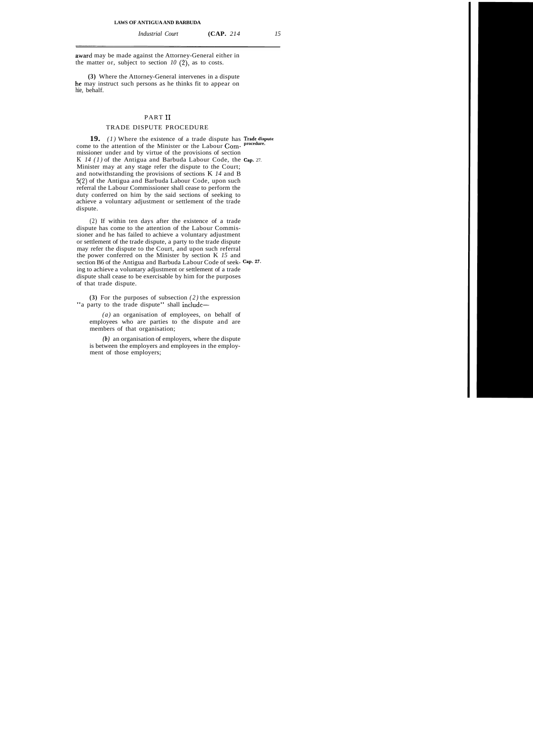*Industrial Court* **(CAP.** *214 15* 

award may be made against the Attorney-General either in the matter or, subject to section  $10(2)$ , as to costs.

**(3)** Where the Attorney-General intervenes in a dispute he may instruct such persons as he thinks fit to appear on hie, behalf.

# PART I1

# TRADE DISPUTE PROCEDURE

**19.** *(1)* Where the existence of a trade dispute has **Trade dispute**  come to the attention of the Minister or the Labour Commissioner under and by virtue of the provisions of section K *14 (1)* of the Antigua and Barbuda Labour Code, the **Cap.** 27. Minister may at any stage refer the dispute to the Court; and notwithstanding the provisions of sections K *14* and B *5(2)* of the Antigua and Barbuda Labour Code, upon such referral the Labour Commissioner shall cease to perform the duty conferred on him by the said sections of seeking to achieve a voluntary adjustment or settlement of the trade dispute.

(2) If within ten days after the existence of a trade dispute has come to the attention of the Labour Commissioner and he has failed to achieve a voluntary adjustment or settlement of the trade dispute, a party to the trade dispute may refer the dispute to the Court, and upon such referral the power conferred on the Minister by section K *15* and section B6 of the Antigua and Barbuda Labour Code of seek- **Cap. \*7.**  ing to achieve a voluntary adjustment or settlement of a trade dispute shall cease to be exercisable by him for the purposes of that trade dispute.

**(3)** For the purposes of subsection *(2)* the expression "a party to the trade dispute" shall include—

*(a)* an organisation of employees, on behalf of employees who are parties to the dispute and are members of that organisation;

*(b)* an organisation of employers, where the dispute is between the employers and employees in the employment of those employers;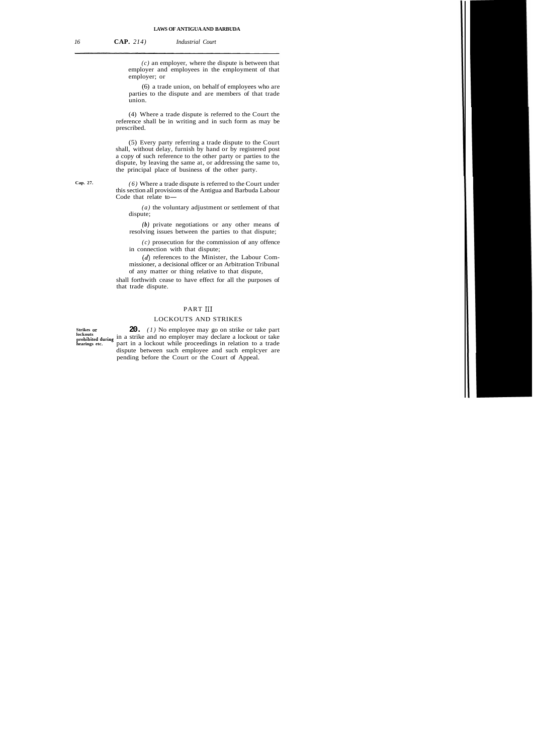*(c)* an employer, where the dispute is between that employer and employees in the employment of that employer; or

(6) a trade union, on behalf of employees who are parties to the dispute and are members of that trade union.

(4) Where a trade dispute is referred to the Court the reference shall be in writing and in such form as may be prescribed.

(5) Every party referring a trade dispute to the Court shall, without delay, furnish by hand or by registered post a copy of such reference to the other party or parties to the dispute, by leaving the same at, or addressing the same to, the principal place of business of the other party.

**Cap. 27.** *(6)* Where a trade dispute is referred to the Court under this section all provisions of the Antigua and Barbuda Labour  $(6)$  Where a trade d<br>this section all provisions<br>Code that relate to-

> *(a)* the voluntary adjustment or settlement of that dispute;

> *(b)* private negotiations or any other means of resolving issues between the parties to that dispute;

> *(c)* prosecution for the commission of any offence in connection with that dispute;

> $(d)$  references to the Minister, the Labour Commissioner, a decisional officer or an Arbitration Tribunal of any matter or thing relative to that dispute,

shall forthwith cease to have effect for all the purposes of that trade dispute.

## PART III

#### LOCKOUTS AND STRIKES

Strikes or **20.** (1) No employee may go on strike or take part **lockouts prohibited during** in a strike and no employer may declare a lockout or take **hearings etc.** part in a lockout while proceedings in relation to a trade dispute between such employee and such emplcyer are pending before the Court or the Court of Appeal.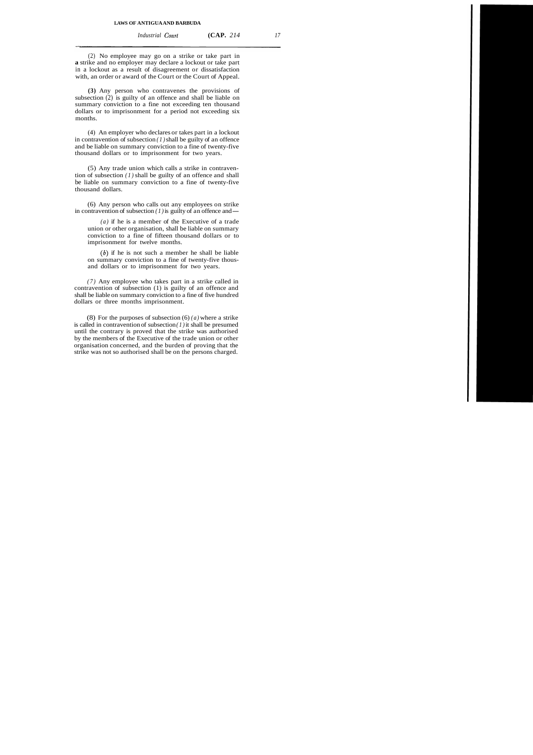*Industrial Court* **(CAP.** 214 17

(2) No employee may go on a strike or take part in **a** strike and no employer may declare a lockout or take part in a lockout as a result of disagreement or dissatisfaction with, an order or award of the Court or the Court of Appeal.

**(3)** Any person who contravenes the provisions of subsection (2) is guilty of an offence and shall be liable on summary conviction to a fine not exceeding ten thousand dollars or to imprisonment for a period not exceeding six months.

(4) An employer who declares or takes part in a lockout in contravention of subsection *(1)* shall be guilty of an offence and be liable on summary conviction to a fine of twenty-five thousand dollars or to imprisonment for two years.

(5) Any trade union which calls a strike in contravention of subsection *(1)* shall be guilty of an offence and shall be liable on summary conviction to a fine of twenty-five thousand dollars.

(6) Any person who calls out any employees on strike in contravention of subsection  $(1)$  is guilty of an offence and —

*(a)* if he is a member of the Executive of a trade union or other organisation, shall be liable on summary conviction to a fine of fifteen thousand dollars or to imprisonment for twelve months.

**(6)** if he is not such a member he shall be liable on summary conviction to a fine of twenty-five thousand dollars or to imprisonment for two years.

*(7)* Any employee who takes part in a strike called in contravention of subsection (1) is guilty of an offence and shall be liable on summary conviction to a fine of five hundred dollars or three months imprisonment.

(8) For the purposes of subsection (6) *(a)* where a strike is called in contravention of subsection *(1)* it shall be presumed until the contrary is proved that the strike was authorised by the members of the Executive of the trade union or other organisation concerned, and the burden of proving that the strike was not so authorised shall be on the persons charged.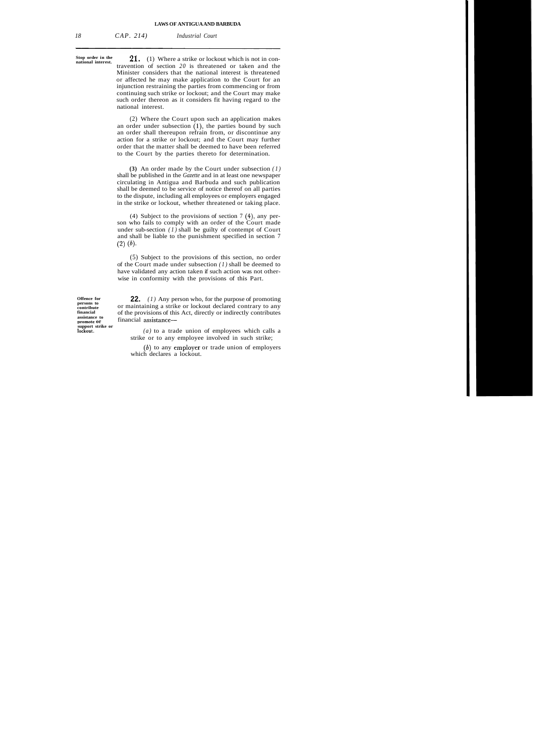**Stop order in the** 

**21.** (1) Where a strike or lockout which is not in contravention of section *20* is threatened or taken and the Minister considers that the national interest is threatened or affected he may make application to the Court for an injunction restraining the parties from commencing or from continuing such strike or lockout; and the Court may make such order thereon as it considers fit having regard to the national interest.

(2) Where the Court upon such an application makes an order under subsection  $(1)$ , the parties bound by such an order shall thereupon refrain from, or discontinue any action for a strike or lockout; and the Court may further order that the matter shall be deemed to have been referred to the Court by the parties thereto for determination.

**(3)** An order made by the Court under subsection *(1)*  shall be published in the *Gazette* and in at least one newspaper circulating in Antigua and Barbuda and such publication shall be deemed to be service of notice thereof on all parties to the dispute, including all employees or employers engaged in the strike or lockout, whether threatened or taking place.

(4) Subject to the provisions of section 7 (4), any person who fails to comply with an order of the Court made under sub-section *(1)* shall be guilty of contempt of Court and shall be liable to the punishment specified in section 7  $(2)$   $(b)$ .

(5) Subject to the provisions of this section, no order of the Court made under subsection *(1)* shall be deemed to have validated any action taken if such action was not otherwise in conformity with the provisions of this Part.

**assistance to support strike or** 

**Offence for 22.** (1) Any person who, for the purpose of promoting persons to **22.** (1) Any person who, for the purpose of promoting contrainuous or maintaining a strike or lockout declared contrary to any **contribute between** or maintaining a strike or lockout declared contrary to any financial of the provisions of this Act, directly or indirectly contributes **financial** of the provisions of this Act, directly or indirectly contributes financial assistance-

**lockout.** *(a)* to a trade union of employees which calls a strike or to any employee involved in such strike;

> *(6)* to any employer or trade union of employers which declares a lockout.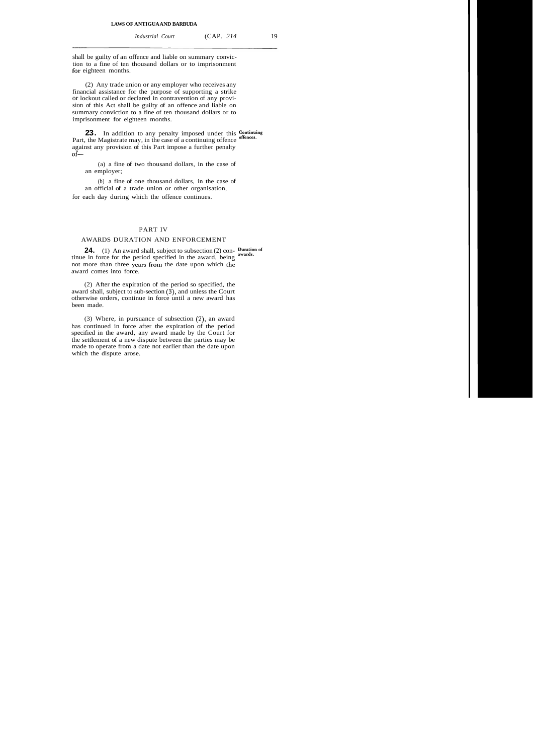shall be guilty of an offence and liable on summary conviction to a fine of ten thousand dollars or to imprisonment for eighteen months.

(2) Any trade union or any employer who receives any financial assistance for the purpose of supporting a strike or lockout called or declared in contravention of any provision of this Act shall be guilty of an offence and liable on summary conviction to a fine of ten thousand dollars or to imprisonment for eighteen months.

**23.** In addition to any penalty imposed under this **Continuing** the Mexican in the set of  $\frac{1}{2}$ Part, the Magistrate may, in the case of a continuing offence against any provision of this Part impose a further penalty  $of-$ 

(a) a fine of two thousand dollars, in the case of an employer;

(b) a fine of one thousand dollars, in the case of an official of a trade union or other organisation, for each day during which the offence continues.

#### PART IV

## AWARDS DURATION AND ENFORCEMENT

**24.** (1) An award shall, subject to subsection (2) con- puration of tinue in force for the period specified in the award, being not more than three years from the date upon which the award comes into force.

(2) After the expiration of the period so specified, the award shall, subject to sub-section  $(3)$ , and unless the Court otherwise orders, continue in force until a new award has been made.

(3) Where, in pursuance of subsection (2), an award has continued in force after the expiration of the period specified in the award, any award made by the Court for the settlement of a new dispute between the parties may be made to operate from a date not earlier than the date upon which the dispute arose.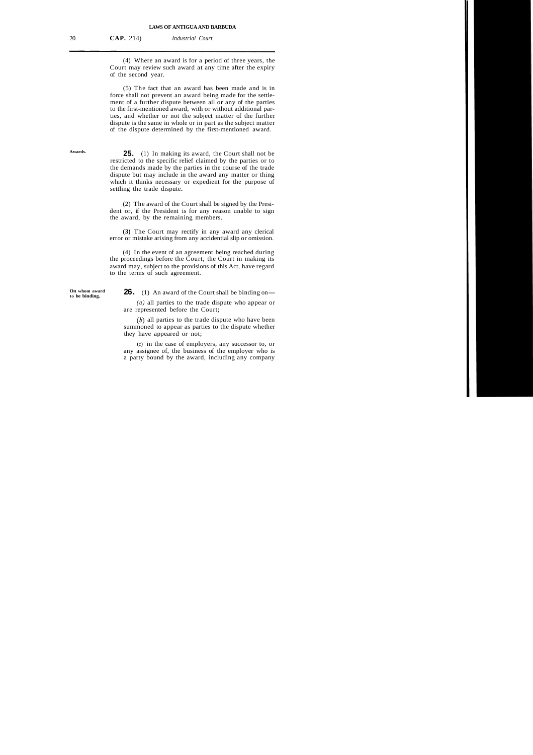20 **CAP.** 214) *Industrial Court* 

(4) Where an award is for a period of three years, the Court may review such award at any time after the expiry of the second year.

(5) The fact that an award has been made and is in force shall not prevent an award being made for the settlement of a further dispute between all or any of the parties to the first-mentioned award, with or without additional parties, and whether or not the subject matter of the further dispute is the same in whole or in part as the subject matter of the dispute determined by the first-mentioned award.

**Awards.** 

**25.** (1) In making its award, the Court shall not be restricted to the specific relief claimed by the parties or to the demands made by the parties in the course of the trade dispute but may include in the award any matter or thing which it thinks necessary or expedient for the purpose of settling the trade dispute.

(2) The award of the Court shall be signed by the President or, if the President is for any reason unable to sign the award, by the remaining members.

**(3)** The Court may rectify in any award any clerical error or mistake arising from any accidential slip or omission.

(4) In the event of an agreement being reached during the proceedings before the Court, the Court in making its award may, subject to the provisions of this Act, have regard to the terms of such agreement.

**On whom award** 

**26.** (1) An award of the Court shall be binding on-

*(a)* all parties to the trade dispute who appear or are represented before the Court;

 $(b)$  all parties to the trade dispute who have been summoned to appear as parties to the dispute whether they have appeared or not;

(c) in the case of employers, any successor to, or any assignee of, the business of the employer who is a party bound by the award, including any company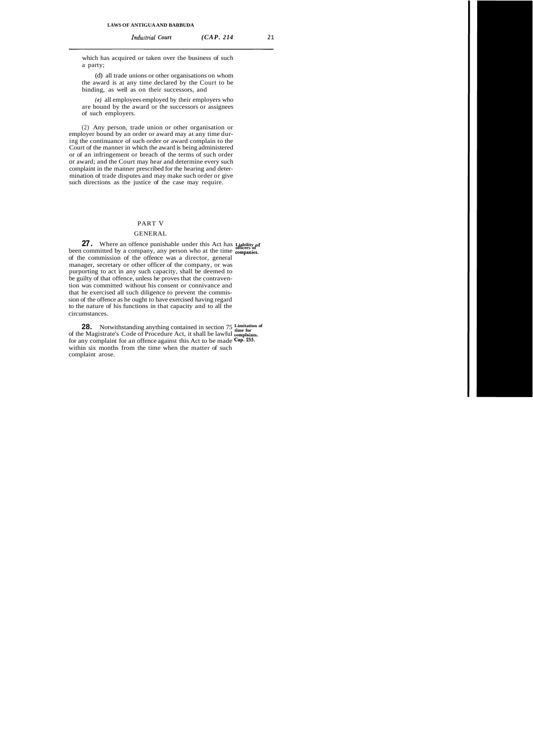which has acquired or taken over the business of such a party;

(d) all trade unions or other organisations on whom the award is at any time declared by the Court to be binding, as well as on their successors, and

*(e)* all employees employed by their employers who are bound by the award or the successors or assignees of such employers.

(2) Any person, trade union or other organisation or employer bound by an order or award may at any time during the continuance of such order or award complain to the Court of the manner in which the award is being administered or of an infringement or breach of the terms of such order or award; and the Court may hear and determine every such complaint in the manner prescribed for the hearing and determination of trade disputes and may make such order or give such directions as the justice of the case may require.

#### PART V

### GENERAL

**27.** Where an offence punishable under this Act has **Liability** of been committed by a company, any person who at the time **companies**. of the commission of the offence was a director, general manager, secretary or other officer of the company, or was purporting to act in any such capacity, shall be deemed to be guilty of that offence, unless he proves that the contravention was committed without his consent or connivance and that he exercised all such diligence to prevent the commission of the offence as he ought to have exercised having regard to the nature of his functions in that capacity and to all the circumstances.

**28.** Notwithstanding anything contained in section 75 Limitation of of the Magistrate's Code of Procedure Act, it shall be lawful complaints. for any complaint for an offence against this Act to be made **Cap. 255.**  within six months from the time when the matter of such complaint arose.